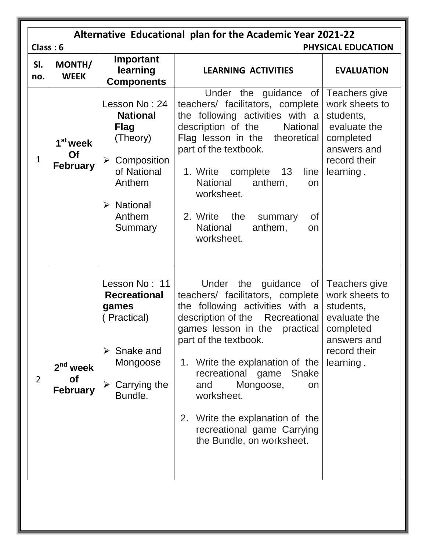|                | Alternative Educational plan for the Academic Year 2021-22<br>Class: 6<br>PHYSICAL EDUCATION |                                                                                                                                                                   |                                                                                                                                                                                                                                                                                                                                                                                                                  |                                                                                                      |  |
|----------------|----------------------------------------------------------------------------------------------|-------------------------------------------------------------------------------------------------------------------------------------------------------------------|------------------------------------------------------------------------------------------------------------------------------------------------------------------------------------------------------------------------------------------------------------------------------------------------------------------------------------------------------------------------------------------------------------------|------------------------------------------------------------------------------------------------------|--|
| SI.<br>no.     | MONTH/<br><b>WEEK</b>                                                                        | Important<br>learning<br><b>Components</b>                                                                                                                        | <b>LEARNING ACTIVITIES</b>                                                                                                                                                                                                                                                                                                                                                                                       | <b>EVALUATION</b>                                                                                    |  |
| $\mathbf{1}$   | 1 <sup>st</sup> week<br>Of<br><b>February</b>                                                | Lesson No: 24<br><b>National</b><br><b>Flag</b><br>(Theory)<br>$\triangleright$ Composition<br>of National<br>Anthem<br><b>National</b><br>➤<br>Anthem<br>Summary | Under the guidance of Teachers give<br>teachers/ facilitators, complete<br>the following activities with a<br>description of the<br>National<br>Flag lesson in the theoretical<br>part of the textbook.<br>1. Write<br>complete<br>13<br>line<br><b>National</b><br>anthem,<br>on<br>worksheet.<br><b>of</b><br>2. Write the summary<br><b>National</b><br>anthem,<br>on<br>worksheet.                           | work sheets to<br>students,<br>evaluate the<br>completed<br>answers and<br>record their<br>learning. |  |
| $\overline{2}$ | $2nd$ week<br><b>of</b><br><b>February</b>                                                   | Lesson No: 11<br><b>Recreational</b><br>games<br>(Practical)<br>Snake and<br>Mongoose<br>Carrying the<br>➤<br>Bundle.                                             | Under the guidance of Teachers give<br>teachers/ facilitators, complete<br>the following activities with $a$<br>description of the Recreational<br>games lesson in the practical<br>part of the textbook.<br>1. Write the explanation of the<br>recreational game<br>Snake<br>Mongoose,<br>and<br>on<br>worksheet.<br>2. Write the explanation of the<br>recreational game Carrying<br>the Bundle, on worksheet. | work sheets to<br>students,<br>evaluate the<br>completed<br>answers and<br>record their<br>learning. |  |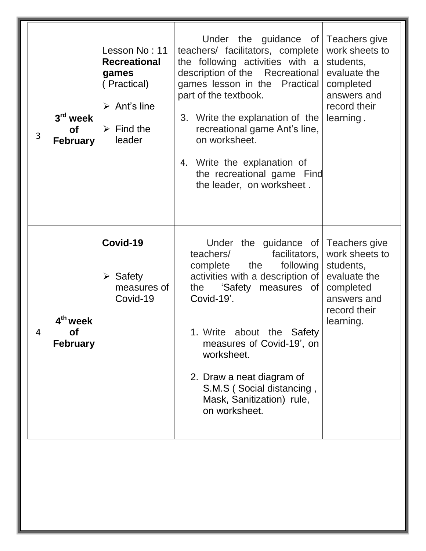| 3 | $3rd$ week<br>Οf<br><b>February</b>           | Lesson No: 11<br><b>Recreational</b><br>games<br>(Practical)<br>$\triangleright$ Ant's line<br>$\triangleright$ Find the<br>leader | Under the guidance of Teachers give<br>teachers/ facilitators, complete<br>the following activities with $a$<br>description of the Recreational<br>games lesson in the Practical<br>part of the textbook.<br>3. Write the explanation of the<br>recreational game Ant's line,<br>on worksheet.<br>4. Write the explanation of<br>the recreational game Find<br>the leader, on worksheet. | work sheets to<br>students,<br>evaluate the<br>completed<br>answers and<br>record their<br>learning. |
|---|-----------------------------------------------|------------------------------------------------------------------------------------------------------------------------------------|------------------------------------------------------------------------------------------------------------------------------------------------------------------------------------------------------------------------------------------------------------------------------------------------------------------------------------------------------------------------------------------|------------------------------------------------------------------------------------------------------|
| 4 | 4 <sup>th</sup> week<br>Οf<br><b>February</b> | Covid-19<br>$\triangleright$ Safety<br>measures of<br>Covid-19                                                                     | Under the guidance of Teachers give<br>facilitators,<br>teachers/<br>the<br>following<br>complete<br>activities with a description of<br>the 'Safety measures of<br>Covid-19'.<br>1. Write about the Safety<br>measures of Covid-19', on<br>worksheet.<br>2. Draw a neat diagram of<br>S.M.S (Social distancing,<br>Mask, Sanitization) rule,<br>on worksheet.                           | work sheets to<br>students,<br>evaluate the<br>completed<br>answers and<br>record their<br>learning. |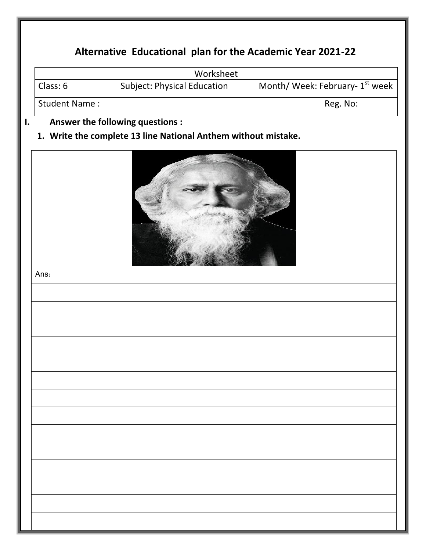|                      | Worksheet                                                      |                                 |
|----------------------|----------------------------------------------------------------|---------------------------------|
| Class: 6             | <b>Subject: Physical Education</b>                             | Month/ Week: February- 1st week |
| <b>Student Name:</b> |                                                                | Reg. No:                        |
|                      | Answer the following questions :                               |                                 |
|                      | 1. Write the complete 13 line National Anthem without mistake. |                                 |
|                      |                                                                |                                 |
|                      |                                                                |                                 |
|                      |                                                                |                                 |
|                      |                                                                |                                 |
|                      |                                                                |                                 |
|                      |                                                                |                                 |
|                      |                                                                |                                 |
|                      |                                                                |                                 |
|                      |                                                                |                                 |
|                      |                                                                |                                 |
| Ans:                 |                                                                |                                 |
|                      |                                                                |                                 |
|                      |                                                                |                                 |
|                      |                                                                |                                 |
|                      |                                                                |                                 |
|                      |                                                                |                                 |
|                      |                                                                |                                 |
|                      |                                                                |                                 |
|                      |                                                                |                                 |
|                      |                                                                |                                 |
|                      |                                                                |                                 |
|                      |                                                                |                                 |
|                      |                                                                |                                 |
|                      |                                                                |                                 |
|                      |                                                                |                                 |
|                      |                                                                |                                 |
|                      |                                                                |                                 |
|                      |                                                                |                                 |
|                      |                                                                |                                 |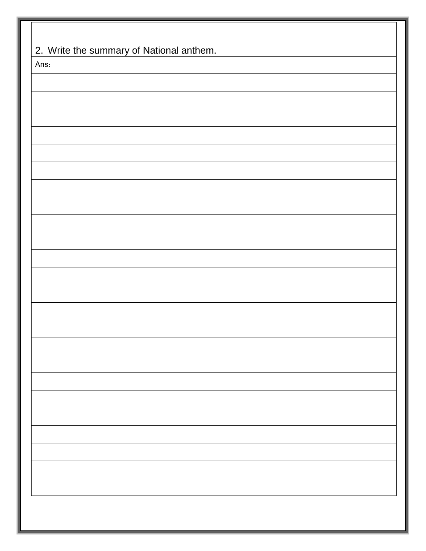| Ans: |  |
|------|--|
|      |  |
|      |  |
|      |  |
|      |  |
|      |  |
|      |  |
|      |  |
|      |  |
|      |  |
|      |  |
|      |  |
|      |  |
|      |  |
|      |  |
|      |  |
|      |  |
|      |  |
|      |  |
|      |  |
|      |  |
|      |  |
|      |  |
|      |  |
|      |  |
|      |  |
|      |  |
|      |  |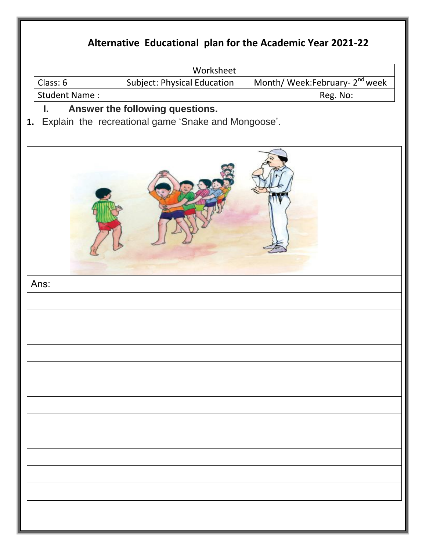|                      | Worksheet                                           |                                            |
|----------------------|-----------------------------------------------------|--------------------------------------------|
| Class: 6             | <b>Subject: Physical Education</b>                  | Month/ Week:February- 2 <sup>nd</sup> week |
| <b>Student Name:</b> |                                                     | Reg. No:                                   |
| ι.                   | Answer the following questions.                     |                                            |
| 1.                   | Explain the recreational game 'Snake and Mongoose'. |                                            |
|                      |                                                     |                                            |
|                      |                                                     |                                            |
| Ans:                 |                                                     |                                            |
|                      |                                                     |                                            |
|                      |                                                     |                                            |
|                      |                                                     |                                            |
|                      |                                                     |                                            |
|                      |                                                     |                                            |
|                      |                                                     |                                            |
|                      |                                                     |                                            |
|                      |                                                     |                                            |
|                      |                                                     |                                            |
|                      |                                                     |                                            |
|                      |                                                     |                                            |
|                      |                                                     |                                            |
|                      |                                                     |                                            |
|                      |                                                     |                                            |
|                      |                                                     |                                            |
|                      |                                                     |                                            |
|                      |                                                     |                                            |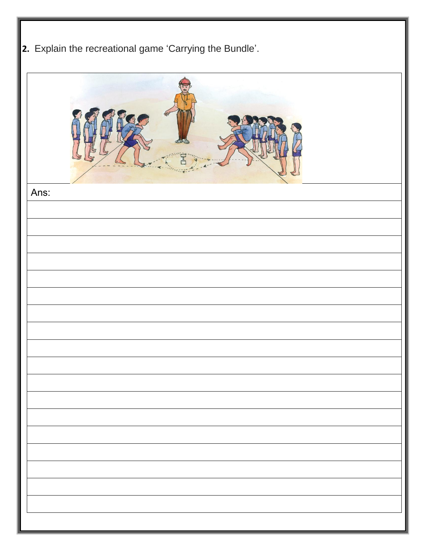|  | 2. Explain the recreational game 'Carrying the Bundle'. |  |
|--|---------------------------------------------------------|--|
|  |                                                         |  |

| Ans: |  |
|------|--|
|      |  |
|      |  |
|      |  |
|      |  |
|      |  |
|      |  |
|      |  |
|      |  |
|      |  |
|      |  |
|      |  |
|      |  |
|      |  |
|      |  |
|      |  |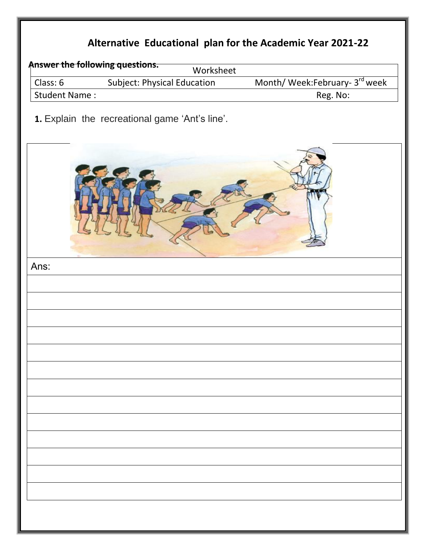|                      | Answer the following questions.<br>Worksheet   |                                |
|----------------------|------------------------------------------------|--------------------------------|
| Class: 6             | Subject: Physical Education                    | Month/ Week:February- 3rd week |
| <b>Student Name:</b> |                                                | Reg. No:                       |
|                      | 1. Explain the recreational game 'Ant's line'. |                                |
|                      |                                                |                                |
| Ans:                 |                                                |                                |
|                      |                                                |                                |
|                      |                                                |                                |
|                      |                                                |                                |
|                      |                                                |                                |
|                      |                                                |                                |
|                      |                                                |                                |
|                      |                                                |                                |
|                      |                                                |                                |
|                      |                                                |                                |
|                      |                                                |                                |
|                      |                                                |                                |
|                      |                                                |                                |
|                      |                                                |                                |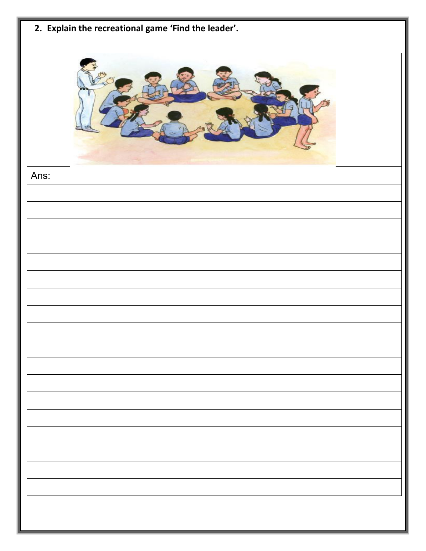| 2. Explain the recreational game 'Find the leader'. |
|-----------------------------------------------------|
|                                                     |
| Ans:                                                |
|                                                     |
|                                                     |
|                                                     |
|                                                     |
|                                                     |
|                                                     |
|                                                     |
|                                                     |
|                                                     |
|                                                     |
|                                                     |
|                                                     |
|                                                     |
|                                                     |
|                                                     |
|                                                     |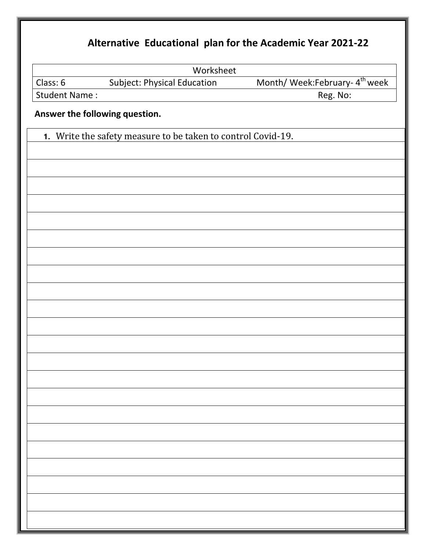|                                | Worksheet                                                    |                                            |
|--------------------------------|--------------------------------------------------------------|--------------------------------------------|
| Class: 6                       | Subject: Physical Education                                  | Month/ Week:February- 4 <sup>th</sup> week |
| <b>Student Name:</b>           |                                                              | Reg. No:                                   |
| Answer the following question. |                                                              |                                            |
|                                | 1. Write the safety measure to be taken to control Covid-19. |                                            |
|                                |                                                              |                                            |
|                                |                                                              |                                            |
|                                |                                                              |                                            |
|                                |                                                              |                                            |
|                                |                                                              |                                            |
|                                |                                                              |                                            |
|                                |                                                              |                                            |
|                                |                                                              |                                            |
|                                |                                                              |                                            |
|                                |                                                              |                                            |
|                                |                                                              |                                            |
|                                |                                                              |                                            |
|                                |                                                              |                                            |
|                                |                                                              |                                            |
|                                |                                                              |                                            |
|                                |                                                              |                                            |
|                                |                                                              |                                            |
|                                |                                                              |                                            |
|                                |                                                              |                                            |
|                                |                                                              |                                            |
|                                |                                                              |                                            |
|                                |                                                              |                                            |
|                                |                                                              |                                            |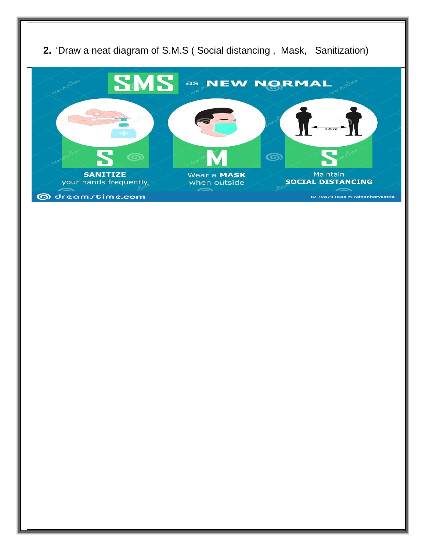